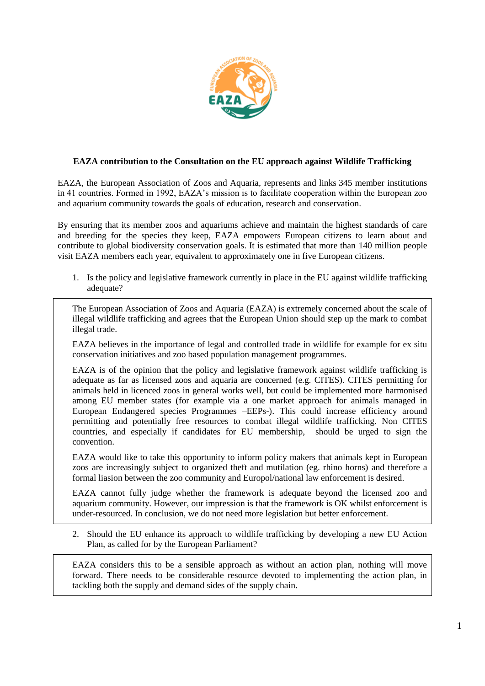

## **EAZA contribution to the Consultation on the EU approach against Wildlife Trafficking**

EAZA, the European Association of Zoos and Aquaria, represents and links 345 member institutions in 41 countries. Formed in 1992, EAZA's mission is to facilitate cooperation within the European zoo and aquarium community towards the goals of education, research and conservation.

By ensuring that its member zoos and aquariums achieve and maintain the highest standards of care and breeding for the species they keep, EAZA empowers European citizens to learn about and contribute to global biodiversity conservation goals. It is estimated that more than 140 million people visit EAZA members each year, equivalent to approximately one in five European citizens.

1. Is the policy and legislative framework currently in place in the EU against wildlife trafficking adequate?

The European Association of Zoos and Aquaria (EAZA) is extremely concerned about the scale of illegal wildlife trafficking and agrees that the European Union should step up the mark to combat illegal trade.

EAZA believes in the importance of legal and controlled trade in wildlife for example for ex situ conservation initiatives and zoo based population management programmes.

EAZA is of the opinion that the policy and legislative framework against wildlife trafficking is adequate as far as licensed zoos and aquaria are concerned (e.g. CITES). CITES permitting for animals held in licenced zoos in general works well, but could be implemented more harmonised among EU member states (for example via a one market approach for animals managed in European Endangered species Programmes –EEPs-). This could increase efficiency around permitting and potentially free resources to combat illegal wildlife trafficking. Non CITES countries, and especially if candidates for EU membership, should be urged to sign the convention.

EAZA would like to take this opportunity to inform policy makers that animals kept in European zoos are increasingly subject to organized theft and mutilation (eg. rhino horns) and therefore a formal liasion between the zoo community and Europol/national law enforcement is desired.

EAZA cannot fully judge whether the framework is adequate beyond the licensed zoo and aquarium community. However, our impression is that the framework is OK whilst enforcement is under-resourced. In conclusion, we do not need more legislation but better enforcement.

2. Should the EU enhance its approach to wildlife trafficking by developing a new EU Action Plan, as called for by the European Parliament?

EAZA considers this to be a sensible approach as without an action plan, nothing will move forward. There needs to be considerable resource devoted to implementing the action plan, in tackling both the supply and demand sides of the supply chain.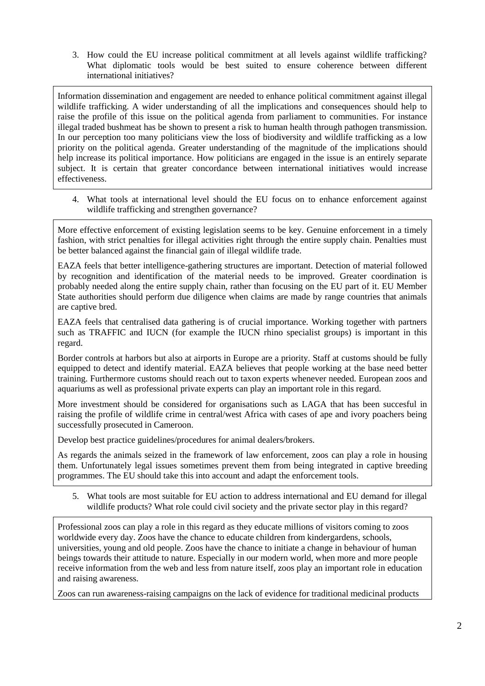3. How could the EU increase political commitment at all levels against wildlife trafficking? What diplomatic tools would be best suited to ensure coherence between different international initiatives?

Information dissemination and engagement are needed to enhance political commitment against illegal wildlife trafficking. A wider understanding of all the implications and consequences should help to raise the profile of this issue on the political agenda from parliament to communities. For instance illegal traded bushmeat has be shown to present a risk to human health through pathogen transmission. In our perception too many politicians view the loss of biodiversity and wildlife trafficking as a low priority on the political agenda. Greater understanding of the magnitude of the implications should help increase its political importance. How politicians are engaged in the issue is an entirely separate subject. It is certain that greater concordance between international initiatives would increase effectiveness.

4. What tools at international level should the EU focus on to enhance enforcement against wildlife trafficking and strengthen governance?

More effective enforcement of existing legislation seems to be key. Genuine enforcement in a timely fashion, with strict penalties for illegal activities right through the entire supply chain. Penalties must be better balanced against the financial gain of illegal wildlife trade.

EAZA feels that better intelligence-gathering structures are important. Detection of material followed by recognition and identification of the material needs to be improved. Greater coordination is probably needed along the entire supply chain, rather than focusing on the EU part of it. EU Member State authorities should perform due diligence when claims are made by range countries that animals are captive bred.

EAZA feels that centralised data gathering is of crucial importance. Working together with partners such as TRAFFIC and IUCN (for example the IUCN rhino specialist groups) is important in this regard.

Border controls at harbors but also at airports in Europe are a priority. Staff at customs should be fully equipped to detect and identify material. EAZA believes that people working at the base need better training. Furthermore customs should reach out to taxon experts whenever needed. European zoos and aquariums as well as professional private experts can play an important role in this regard.

More investment should be considered for organisations such as LAGA that has been succesful in raising the profile of wildlife crime in central/west Africa with cases of ape and ivory poachers being successfully prosecuted in Cameroon.

Develop best practice guidelines/procedures for animal dealers/brokers.

As regards the animals seized in the framework of law enforcement, zoos can play a role in housing them. Unfortunately legal issues sometimes prevent them from being integrated in captive breeding programmes. The EU should take this into account and adapt the enforcement tools.

5. What tools are most suitable for EU action to address international and EU demand for illegal wildlife products? What role could civil society and the private sector play in this regard?

Professional zoos can play a role in this regard as they educate millions of visitors coming to zoos worldwide every day. Zoos have the chance to educate children from kindergardens, schools, universities, young and old people. Zoos have the chance to initiate a change in behaviour of human beings towards their attitude to nature. Especially in our modern world, when more and more people receive information from the web and less from nature itself, zoos play an important role in education and raising awareness.

Zoos can run awareness-raising campaigns on the lack of evidence for traditional medicinal products